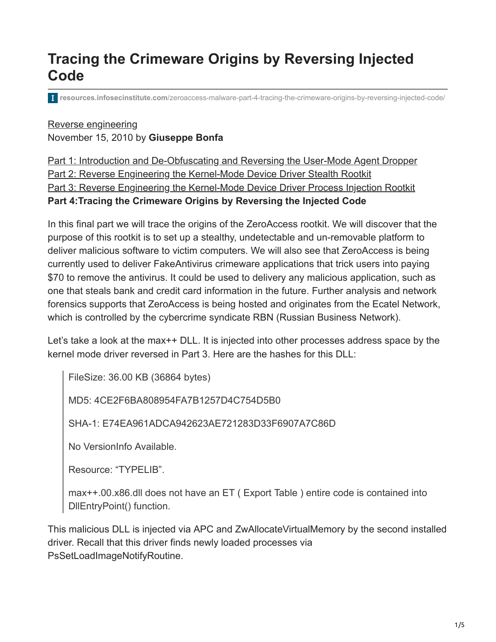# **Tracing the Crimeware Origins by Reversing Injected Code**

**resources.infosecinstitute.com**[/zeroaccess-malware-part-4-tracing-the-crimeware-origins-by-reversing-injected-code/](http://resources.infosecinstitute.com/zeroaccess-malware-part-4-tracing-the-crimeware-origins-by-reversing-injected-code/)

## [Reverse engineering](https://resources.infosecinstitute.com/topics/reverse-engineering/) November 15, 2010 by **Giuseppe Bonfa**

[Part 1: Introduction and De-Obfuscating and Reversing the User-Mode Agent Dropper](http://resources.infosecinstitute.com/step-by-step-tutorial-on-reverse-engineering-malware-the-zeroaccessmaxsmiscer-crimeware-rootkit/) [Part 2: Reverse Engineering the Kernel-Mode Device Driver Stealth Rootkit](http://resources.infosecinstitute.com/zeroaccess-malware-part-2-the-kernel-mode-device-driver-stealth-rootkit/) [Part 3: Reverse Engineering the Kernel-Mode Device Driver Process Injection Rootkit](https://resources.infosecinstitute.com/zeroaccess-malware-part-3-the-device-driver-process-injection-rootkit/) **Part 4:Tracing the Crimeware Origins by Reversing the Injected Code**

In this final part we will trace the origins of the ZeroAccess rootkit. We will discover that the purpose of this rootkit is to set up a stealthy, undetectable and un-removable platform to deliver malicious software to victim computers. We will also see that ZeroAccess is being currently used to deliver FakeAntivirus crimeware applications that trick users into paying \$70 to remove the antivirus. It could be used to delivery any malicious application, such as one that steals bank and credit card information in the future. Further analysis and network forensics supports that ZeroAccess is being hosted and originates from the Ecatel Network, which is controlled by the cybercrime syndicate RBN (Russian Business Network).

Let's take a look at the max++ DLL. It is injected into other processes address space by the kernel mode driver reversed in Part 3. Here are the hashes for this DLL:

FileSize: 36.00 KB (36864 bytes)

MD5: 4CE2F6BA808954FA7B1257D4C754D5B0

SHA-1: E74EA961ADCA942623AE721283D33F6907A7C86D

No VersionInfo Available.

Resource: "TYPELIB".

max++.00.x86.dll does not have an ET ( Export Table ) entire code is contained into DllEntryPoint() function.

This malicious DLL is injected via APC and ZwAllocateVirtualMemory by the second installed driver. Recall that this driver finds newly loaded processes via PsSetLoadImageNotifyRoutine.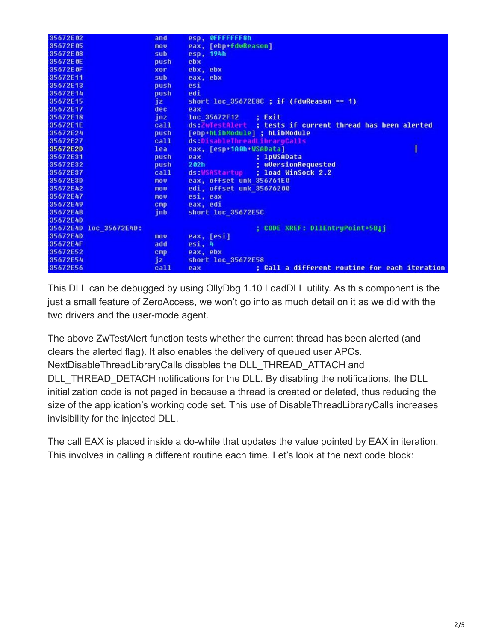| 35672E02                | and        | esp, OFFFFFFFBh                                           |
|-------------------------|------------|-----------------------------------------------------------|
| 35672E05                | nou        | eax, [ebp+fdwReason]                                      |
| 35672E08                | sub        | esp. 194h                                                 |
| 35672E0E                | push       | ebx                                                       |
| 35672E0F                | xor        | ebx, ebx                                                  |
| 35672E11                | sub        | eax, ebx                                                  |
| 35672E13                | push       | esi                                                       |
| 35672E14                | push       | edi                                                       |
| 35672E15                | jz         | short loc 35672E8C ; if (fdwReason == 1)                  |
| 35672E17                | dec.       | eax                                                       |
| 35672E18                | inz        | loc 35672F12 : Exit                                       |
| 35672E1E                | ca11       | ds:ZwTestAlert ; tests if current thread has been alerted |
| 35672E24                | push       | [ebp+hLibModule] ; hLibModule                             |
| 35672E27                | call       | ds:DisableThreadLibraruCalls                              |
| 35672E2D                | lea        | eax, [esp+1A0h+WSAData]                                   |
| 35672E31                | push       | : lpWSAData<br>eax                                        |
| 35672E32                | push       | ; wVersionRequested<br>202h                               |
| 35672E37                | ca11       | ds:WSAStartup : load WinSock 2.2                          |
| 35672E3D                | nou        | eax, offset unk 356761E0                                  |
| 35672E42                | <b>mou</b> | edi, offset unk 35676200                                  |
| 35672E47                | <b>nov</b> | esi, eax                                                  |
| 35672E49                | $C$ mp     | eax, edi                                                  |
| 35672E4B                | jnb        | short loc 35672E5C                                        |
| 35672E4D                |            |                                                           |
| :35672E4D loc 35672E4D: |            | ; CODE XREF: D11EntruPoint+5B11                           |
| 35672E4D                | nou        | eax, [esi]                                                |
| :35672E4F               | add        | $e$ si, $4$                                               |
| 35672E52                | cmp        | eax, ebx                                                  |
| 35672E54                | jz         | short loc 35672E58                                        |
| 35672E56                | ca11       | ; Call a different routine for each iteration<br>eax      |

This DLL can be debugged by using OllyDbg 1.10 LoadDLL utility. As this component is the just a small feature of ZeroAccess, we won't go into as much detail on it as we did with the two drivers and the user-mode agent.

The above ZwTestAlert function tests whether the current thread has been alerted (and clears the alerted flag). It also enables the delivery of queued user APCs. NextDisableThreadLibraryCalls disables the DLL\_THREAD\_ATTACH and DLL THREAD DETACH notifications for the DLL. By disabling the notifications, the DLL initialization code is not paged in because a thread is created or deleted, thus reducing the size of the application's working code set. This use of DisableThreadLibraryCalls increases invisibility for the injected DLL.

The call EAX is placed inside a do-while that updates the value pointed by EAX in iteration. This involves in calling a different routine each time. Let's look at the next code block: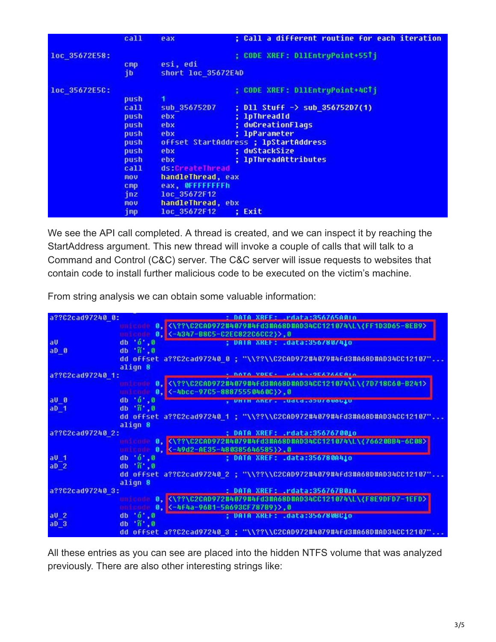|               | call                                                                                                            | eax                                                                                                                                                             | ; Call a different routine for each iteration                                                                                                                                                                                   |
|---------------|-----------------------------------------------------------------------------------------------------------------|-----------------------------------------------------------------------------------------------------------------------------------------------------------------|---------------------------------------------------------------------------------------------------------------------------------------------------------------------------------------------------------------------------------|
| loc 35672E58: | cmp<br>jb                                                                                                       | esi, edi<br>short loc 35672E4D                                                                                                                                  | ; CODE XREF: D11EntruPoint+55Tj                                                                                                                                                                                                 |
| loc 35672E5C: | push<br>call<br>push<br>push<br>push<br>push<br>push<br>push<br>call<br>mou<br>cmp<br>jnz<br><b>MOV</b><br>jmp. | sub 35675207<br>ebx<br>ebx<br>ebx<br>ebx<br>ebx<br>ds:CreateThread<br>handleThread, eax<br>eax, OFFFFFFFFh<br>loc 35672F12<br>handleThread, ebx<br>loc 35672F12 | ; CODE XREF: D11EntryPoint+4CTj<br>; D11 Stuff $\rightarrow$ sub 356752D7(1)<br>; lpThreadId<br>dwCreationFlags<br>; 1pParameter<br>offset StartAddress ; lpStartAddress<br>: dwStackSize<br>; 1pThreadAttributes<br>Exit<br>в. |

We see the API call completed. A thread is created, and we can inspect it by reaching the StartAddress argument. This new thread will invoke a couple of calls that will talk to a Command and Control (C&C) server. The C&C server will issue requests to websites that contain code to install further malicious code to be executed on the victim's machine.

From string analysis we can obtain some valuable information:

| a??C2cad97240 0: | DATA XREE: Pdata:356765A01n                                                                      |
|------------------|--------------------------------------------------------------------------------------------------|
|                  | C2CAD972#4079#4Fd3#A68D#AD34CC121074\L\<br>$(FF1D3D65-8EB9)$<br>$\boldsymbol{\theta}$ .          |
|                  | $\frac{1}{2}$ <-4347-B8C5-C2EC822C6CC2}>, 0<br><b>LES DIGEL</b>                                  |
| aU               | db'0',0<br>: DAIA XKEF: .data:356/80/410                                                         |
| aDB              | $db' \tilde{n}'$ , $\theta$                                                                      |
|                  | dd offset a??C2cad97240 0 ; "\\??\\C2CAD972#4079#4fd3#A68D#AD34CC12107"                          |
|                  | align 8                                                                                          |
| a??C2cad97240 1: | <b>CONSESSOCATAACAI</b> n                                                                        |
|                  | <\??\C2CAD972#4079#4fd3#A68D#AD34CC121074\L\{7D718C60-B241>                                      |
|                  | <-4bcc-97C5-88875550460C}>,0<br>8,7<br><b>DELLE CALIFE</b>                                       |
| $a \cup a$       | db '0', 0<br>, UMIM ANER. . Udtd.apu/ouou.u                                                      |
| aD <sub>1</sub>  | db 'ñ', 8                                                                                        |
|                  | dd offset a??C2cad97240 1 ; "\\??\\C2CAD972#4079#4fd3#A68D#AD34CC12107"                          |
|                  | align 8                                                                                          |
| a??C2cad97240 2: | : DATA XREF: .rdata:3567670010                                                                   |
|                  | 0. <\??\C2CAD972#4079#4fd3#A68D#AD34CC121074\L\{76620BB4-6C08>                                   |
|                  | $K-49d2 - AE35 - 480385646585$ ), 0<br>θ,<br>ara ta aidhi                                        |
| $aU_1$ 1         | $db$ $6$ , $8$<br>; DATA XREF: .data:356780A410                                                  |
| aD <sub>2</sub>  | db 'ñ', 0                                                                                        |
|                  | dd offset a??C2cad97240 2 ; "\\??\\C2CAD972#4079#4fd3#A68D#AD34CC12107"                          |
|                  | align 8                                                                                          |
| a??C2cad97240 3: | : DATA XREF: .rdata:356767B010                                                                   |
|                  | <\??\C2CAD972#4879#4Fd3#A68D#AD34CC121874\L\{F8E9DFD7-1EFD><br><b>Aly</b><br>and it is intention |
|                  | <b>Golf Adam</b>                                                                                 |
| aU <sub>2</sub>  | db '0', 8<br>; DAIA XREF: .data:356/80BC10                                                       |
| aD <sub>3</sub>  | db 'ñ', 0                                                                                        |
|                  | dd offset a??C2cad97240 3 ; "\\??\\C2CAD972#4079#4fd3#A68D#AD34CC12107"                          |

All these entries as you can see are placed into the hidden NTFS volume that was analyzed previously. There are also other interesting strings like: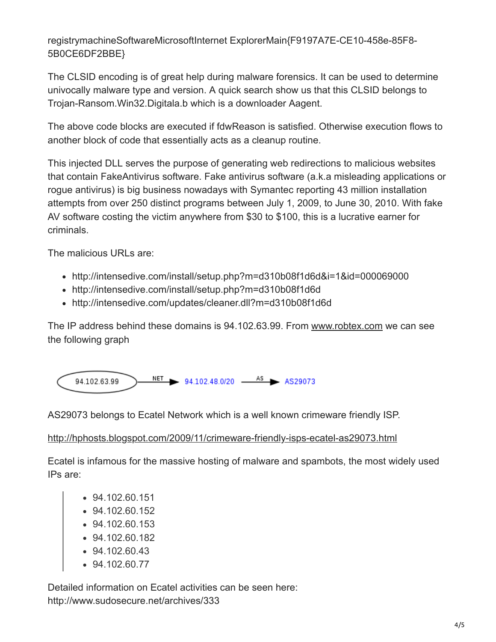registrymachineSoftwareMicrosoftInternet ExplorerMain{F9197A7E-CE10-458e-85F8- 5B0CE6DF2BBE}

The CLSID encoding is of great help during malware forensics. It can be used to determine univocally malware type and version. A quick search show us that this CLSID belongs to Trojan-Ransom.Win32.Digitala.b which is a downloader Aagent.

The above code blocks are executed if fdwReason is satisfied. Otherwise execution flows to another block of code that essentially acts as a cleanup routine.

This injected DLL serves the purpose of generating web redirections to malicious websites that contain FakeAntivirus software. Fake antivirus software (a.k.a misleading applications or rogue antivirus) is big business nowadays with Symantec reporting 43 million installation attempts from over 250 distinct programs between July 1, 2009, to June 30, 2010. With fake AV software costing the victim anywhere from \$30 to \$100, this is a lucrative earner for criminals.

The malicious URLs are:

- http://intensedive.com/install/setup.php?m=d310b08f1d6d&i=1&id=000069000
- http://intensedive.com/install/setup.php?m=d310b08f1d6d
- http://intensedive.com/updates/cleaner.dll?m=d310b08f1d6d

The IP address behind these domains is 94.102.63.99. From [www.robtex.com](http://www.robtex.com/) we can see the following graph



AS29073 belongs to Ecatel Network which is a well known crimeware friendly ISP.

#### <http://hphosts.blogspot.com/2009/11/crimeware-friendly-isps-ecatel-as29073.html>

Ecatel is infamous for the massive hosting of malware and spambots, the most widely used IPs are:

- 94.102.60.151
- 94.102.60.152
- 94.102.60.153
- 94.102.60.182
- 94.102.60.43
- 94.102.60.77

Detailed information on Ecatel activities can be seen here: http://www.sudosecure.net/archives/333